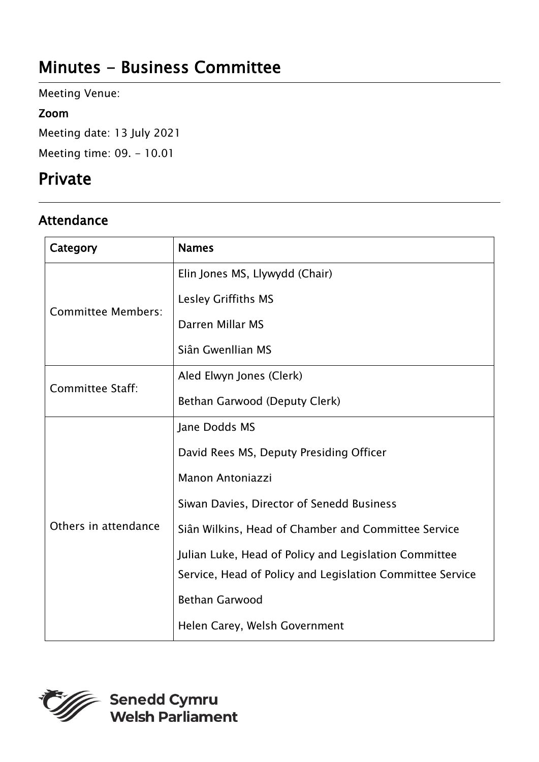# Minutes - Business Committee

Meeting Venue:

#### Zoom

Meeting date: 13 July 2021 Meeting time: 09. - 10.01

# Private

## Attendance

| Category                  | <b>Names</b>                                              |
|---------------------------|-----------------------------------------------------------|
| <b>Committee Members:</b> | Elin Jones MS, Llywydd (Chair)                            |
|                           | Lesley Griffiths MS                                       |
|                           | Darren Millar MS                                          |
|                           | Siân Gwenllian MS                                         |
| Committee Staff:          | Aled Elwyn Jones (Clerk)                                  |
|                           | Bethan Garwood (Deputy Clerk)                             |
| Others in attendance      | Jane Dodds MS                                             |
|                           | David Rees MS, Deputy Presiding Officer                   |
|                           | <b>Manon Antoniazzi</b>                                   |
|                           | Siwan Davies, Director of Senedd Business                 |
|                           | Siân Wilkins, Head of Chamber and Committee Service       |
|                           | Julian Luke, Head of Policy and Legislation Committee     |
|                           | Service, Head of Policy and Legislation Committee Service |
|                           | <b>Bethan Garwood</b>                                     |
|                           | Helen Carey, Welsh Government                             |



Senedd Cymru<br>Welsh Parliament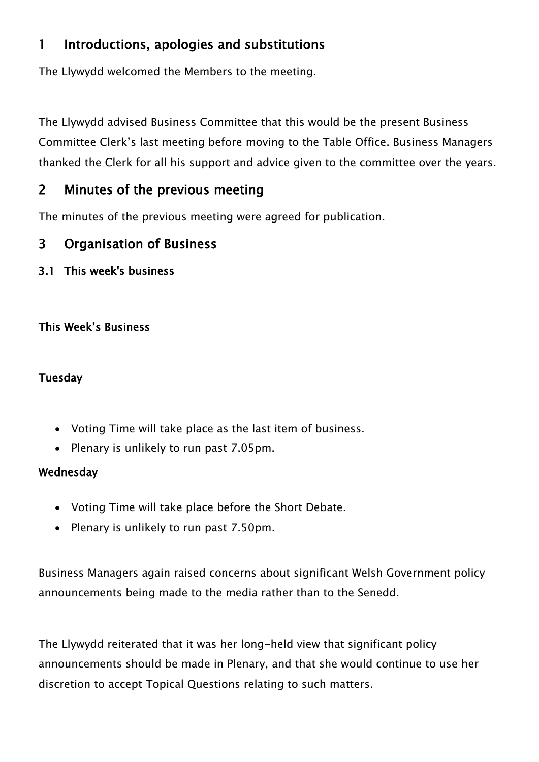### 1 Introductions, apologies and substitutions

The Llywydd welcomed the Members to the meeting.

The Llywydd advised Business Committee that this would be the present Business Committee Clerk's last meeting before moving to the Table Office. Business Managers thanked the Clerk for all his support and advice given to the committee over the years.

### 2 Minutes of the previous meeting

The minutes of the previous meeting were agreed for publication.

### 3 Organisation of Business

3.1 This week's business

#### This Week's Business

#### Tuesday

- Voting Time will take place as the last item of business.
- Plenary is unlikely to run past 7.05pm.

#### **Wednesday**

- Voting Time will take place before the Short Debate.
- Plenary is unlikely to run past 7.50pm.

Business Managers again raised concerns about significant Welsh Government policy announcements being made to the media rather than to the Senedd.

The Llywydd reiterated that it was her long-held view that significant policy announcements should be made in Plenary, and that she would continue to use her discretion to accept Topical Questions relating to such matters.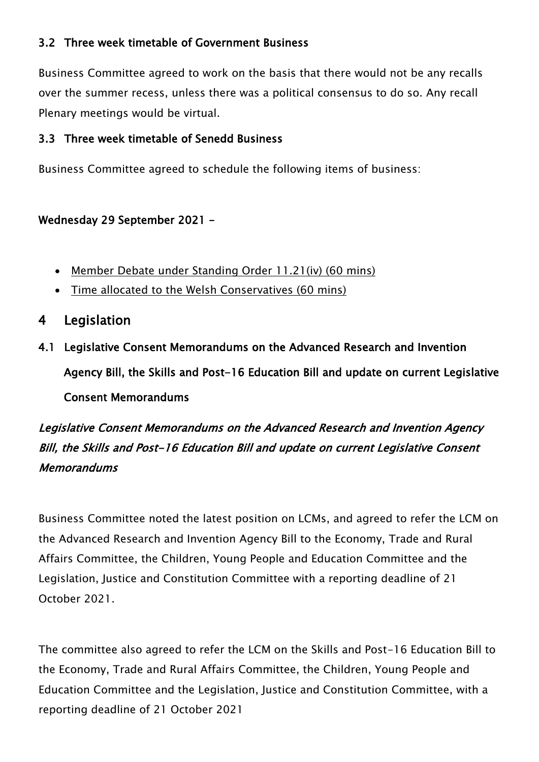#### 3.2 Three week timetable of Government Business

Business Committee agreed to work on the basis that there would not be any recalls over the summer recess, unless there was a political consensus to do so. Any recall Plenary meetings would be virtual.

#### 3.3 Three week timetable of Senedd Business

Business Committee agreed to schedule the following items of business:

#### Wednesday 29 September 2021 –

- Member Debate under Standing Order 11.21(iv) (60 mins)
- Time allocated to the Welsh Conservatives (60 mins)
- 4 Legislation
- 4.1 Legislative Consent Memorandums on the Advanced Research and Invention Agency Bill, the Skills and Post-16 Education Bill and update on current Legislative Consent Memorandums

# Legislative Consent Memorandums on the Advanced Research and Invention Agency Bill, the Skills and Post-16 Education Bill and update on current Legislative Consent **Memorandums**

Business Committee noted the latest position on LCMs, and agreed to refer the LCM on the Advanced Research and Invention Agency Bill to the Economy, Trade and Rural Affairs Committee, the Children, Young People and Education Committee and the Legislation, Justice and Constitution Committee with a reporting deadline of 21 October 2021.

The committee also agreed to refer the LCM on the Skills and Post-16 Education Bill to the Economy, Trade and Rural Affairs Committee, the Children, Young People and Education Committee and the Legislation, Justice and Constitution Committee, with a reporting deadline of 21 October 2021